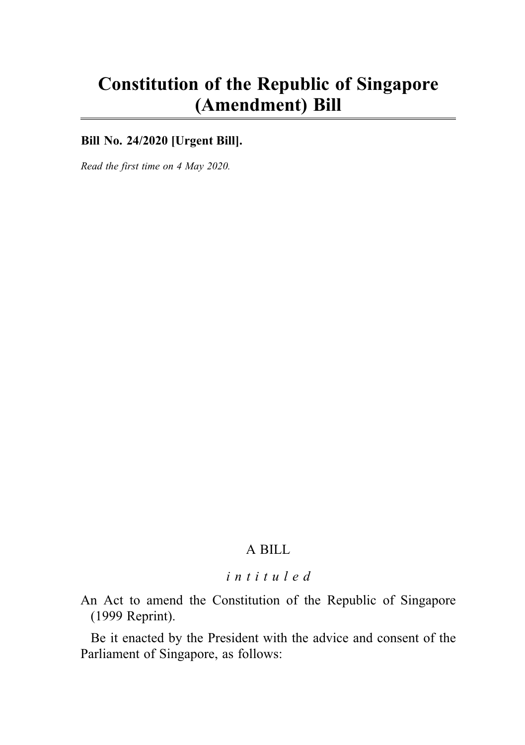# Constitution of the Republic of Singapore (Amendment) Bill

**Bill No. 24/2020 [Urgent Bill]**.

Read the first time on 4 May 2020.

# A BILL

## intituled

An Act to amend the Constitution of the Republic of Singapore (1999 Reprint).

Be it enacted by the President with the advice and consent of the Parliament of Singapore, as follows: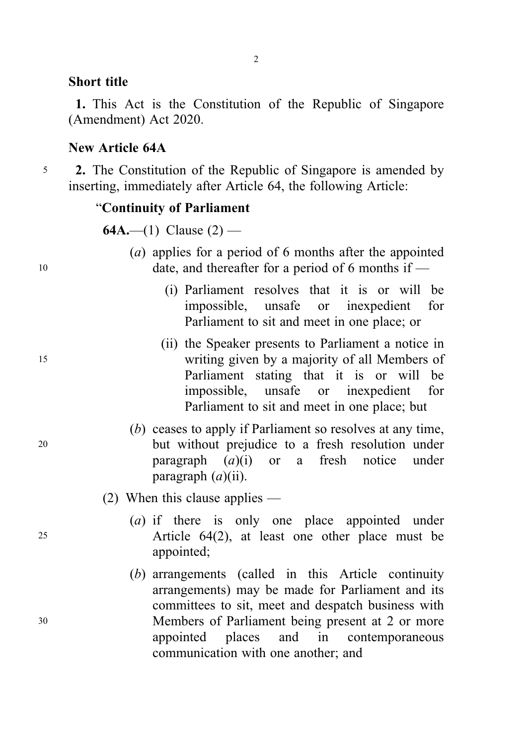#### Short title

1. This Act is the Constitution of the Republic of Singapore (Amendment) Act 2020.

### New Article 64A

<sup>5</sup> 2. The Constitution of the Republic of Singapore is amended by inserting, immediately after Article 64, the following Article:

## "Continuity of Parliament

**64A.—(1)** Clause  $(2)$  —

- (a) applies for a period of 6 months after the appointed 10 date, and thereafter for a period of 6 months if —
	- (i) Parliament resolves that it is or will be impossible, unsafe or inexpedient for Parliament to sit and meet in one place; or
- (ii) the Speaker presents to Parliament a notice in <sup>15</sup> writing given by a majority of all Members of Parliament stating that it is or will be impossible, unsafe or inexpedient for Parliament to sit and meet in one place; but
- (b) ceases to apply if Parliament so resolves at any time, <sup>20</sup> but without prejudice to a fresh resolution under paragraph  $(a)(i)$  or a fresh notice under paragraph  $(a)(ii)$ .
	- (2) When this clause applies —
- (a) if there is only one place appointed under <sup>25</sup> Article 64(2), at least one other place must be appointed;
- (b) arrangements (called in this Article continuity arrangements) may be made for Parliament and its committees to sit, meet and despatch business with <sup>30</sup> Members of Parliament being present at 2 or more appointed places and in contemporaneous communication with one another; and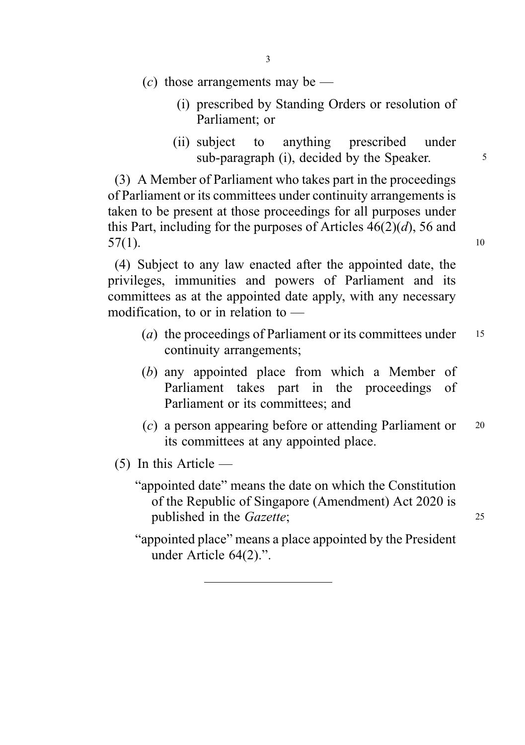- 3
- $(c)$  those arrangements may be
	- (i) prescribed by Standing Orders or resolution of Parliament; or
	- (ii) subject to anything prescribed under sub-paragraph (i), decided by the Speaker.

(3) A Member of Parliament who takes part in the proceedings of Parliament or its committees under continuity arrangements is taken to be present at those proceedings for all purposes under this Part, including for the purposes of Articles  $46(2)(d)$ , 56 and  $57(1).$  10

(4) Subject to any law enacted after the appointed date, the privileges, immunities and powers of Parliament and its committees as at the appointed date apply, with any necessary modification, to or in relation to —

- (a) the proceedings of Parliament or its committees under  $15$ continuity arrangements;
- (b) any appointed place from which a Member of Parliament takes part in the proceedings of Parliament or its committees; and
- (c) a person appearing before or attending Parliament or <sup>20</sup> its committees at any appointed place.
- (5) In this Article
	- "appointed date" means the date on which the Constitution of the Republic of Singapore (Amendment) Act 2020 is published in the *Gazette*; 25
		-
	- "appointed place" means a place appointed by the President under Article 64(2).".